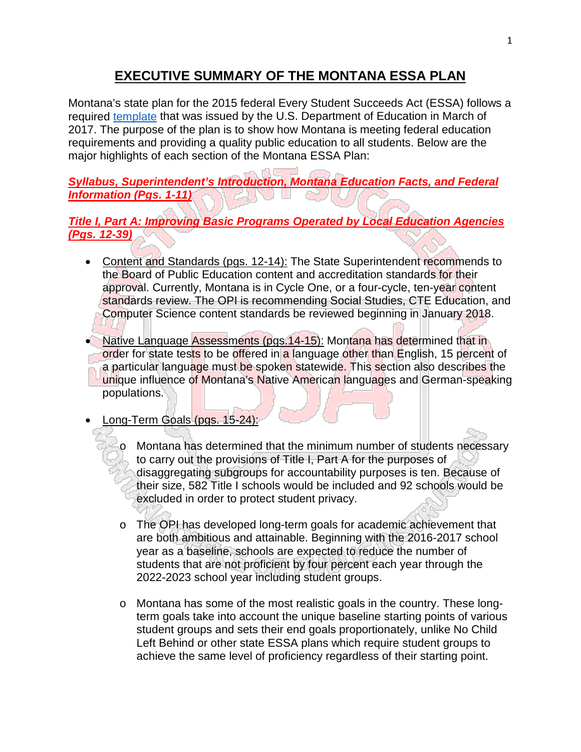## **EXECUTIVE SUMMARY OF THE MONTANA ESSA PLAN**

Montana's state plan for the 2015 federal Every Student Succeeds Act (ESSA) follows a required [template](https://www.ed.gov/essa?src=rn) that was issued by the U.S. Department of Education in March of 2017. The purpose of the plan is to show how Montana is meeting federal education requirements and providing a quality public education to all students. Below are the major highlights of each section of the Montana ESSA Plan:

*Syllabus, Superintendent's Introduction, Montana Education Facts, and Federal Information (Pgs. 1-11)*

## *Title I, Part A: Improving Basic Programs Operated by Local Education Agencies (Pgs. 12-39)*

- Content and Standards (pgs. 12-14): The State Superintendent recommends to the Board of Public Education content and accreditation standards for their approval. Currently, Montana is in Cycle One, or a four-cycle, ten-year content standards review. The OPI is recommending Social Studies, CTE Education, and Computer Science content standards be reviewed beginning in January 2018.
- Native Language Assessments (pgs.14-15): Montana has determined that in order for state tests to be offered in a language other than English, 15 percent of a particular language must be spoken statewide. This section also describes the unique influence of Montana's Native American languages and German-speaking populations.
- Long-Term Goals (pgs. 15-24):
	- o Montana has determined that the minimum number of students necessary to carry out the provisions of Title I, Part A for the purposes of disaggregating subgroups for accountability purposes is ten. Because of their size, 582 Title I schools would be included and 92 schools would be excluded in order to protect student privacy.
	- o The OPI has developed long-term goals for academic achievement that are both ambitious and attainable. Beginning with the 2016-2017 school year as a baseline, schools are expected to reduce the number of students that are not proficient by four percent each year through the 2022-2023 school year including student groups.
	- o Montana has some of the most realistic goals in the country. These longterm goals take into account the unique baseline starting points of various student groups and sets their end goals proportionately, unlike No Child Left Behind or other state ESSA plans which require student groups to achieve the same level of proficiency regardless of their starting point.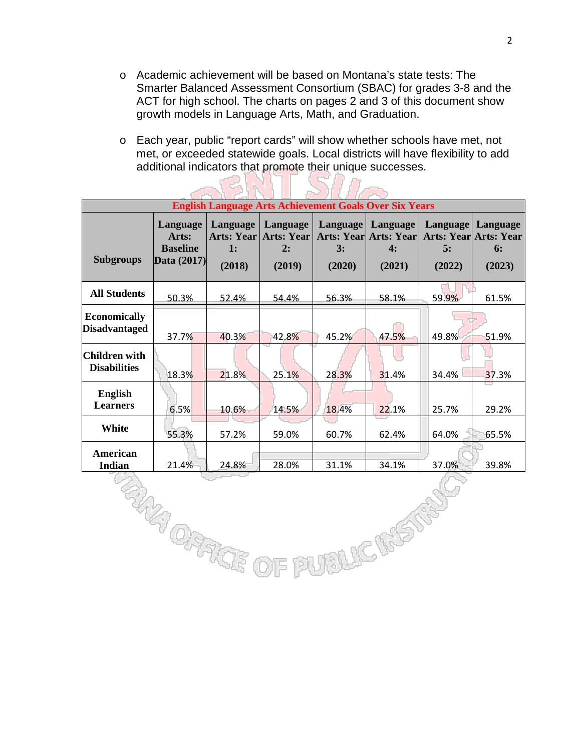o Academic achievement will be based on Montana's state tests: The Smarter Balanced Assessment Consortium (SBAC) for grades 3-8 and the ACT for high school. The charts on pages 2 and 3 of this document show growth models in Language Arts, Math, and Graduation.

2

o Each year, public "report cards" will show whether schools have met, not met, or exceeded statewide goals. Local districts will have flexibility to add additional indicators that promote their unique successes.

l avec

- 3

| <b>English Language Arts Achievement Goals Over Six Years</b> |                                                       |                                                           |                                        |                          |                                                   |                          |                                                          |
|---------------------------------------------------------------|-------------------------------------------------------|-----------------------------------------------------------|----------------------------------------|--------------------------|---------------------------------------------------|--------------------------|----------------------------------------------------------|
| <b>Subgroups</b>                                              | Language<br>Arts:<br><b>Baseline</b><br>Data $(2017)$ | Language<br><b>Arts: Year</b><br>$\mathbf{1}$ :<br>(2018) | Language<br>Arts: Year<br>2:<br>(2019) | Language<br>3:<br>(2020) | Language<br>Arts: Year Arts: Year<br>4:<br>(2021) | Language<br>5:<br>(2022) | Language<br><b>Arts: Year Arts: Year</b><br>6:<br>(2023) |
| <b>All Students</b>                                           | 50.3%                                                 | 52.4%                                                     | 54.4%                                  | 56.3%                    | 58.1%                                             | 59.9%                    | 61.5%                                                    |
| <b>Economically</b><br><b>Disadvantaged</b>                   | 37.7%                                                 | 40.3%                                                     | 42.8%                                  | 45.2%                    | 47.5%                                             | 49.8%                    | 51.9%                                                    |
| Children with <br><b>Disabilities</b>                         | 18.3%                                                 | 21.8%                                                     | 25.1%                                  | 28.3%                    | 31.4%                                             | 34.4%                    | 37.3%                                                    |
| English<br><b>Learners</b>                                    | 6.5%                                                  | 10.6%                                                     | 14.5%                                  | 18.4%                    | 22.1%                                             | 25.7%                    | 29.2%                                                    |
| White                                                         | 55.3%                                                 | 57.2%                                                     | 59.0%                                  | 60.7%                    | 62.4%                                             | 64.0%                    | 65.5%                                                    |
| American<br><b>Indian</b>                                     | 21.4%                                                 | 24.8%                                                     | 28.0%                                  | 31.1%                    | 34.1%                                             | 37.0%                    | 39.8%                                                    |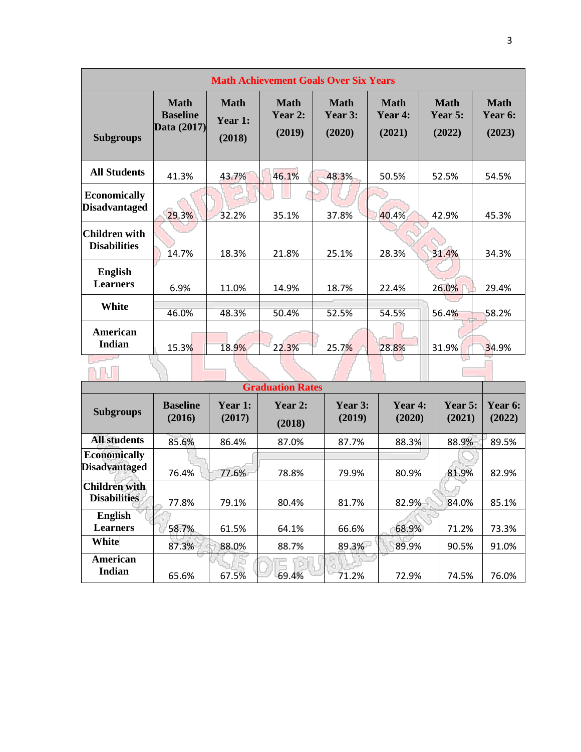| <b>Math Achievement Goals Over Six Years</b> |                                               |                                  |                             |                           |                                  |                                  |                                  |
|----------------------------------------------|-----------------------------------------------|----------------------------------|-----------------------------|---------------------------|----------------------------------|----------------------------------|----------------------------------|
| <b>Subgroups</b>                             | <b>Math</b><br><b>Baseline</b><br>Data (2017) | <b>Math</b><br>Year 1:<br>(2018) | Math<br>Year $2:$<br>(2019) | Math<br>Year 3:<br>(2020) | <b>Math</b><br>Year 4:<br>(2021) | <b>Math</b><br>Year 5:<br>(2022) | <b>Math</b><br>Year 6:<br>(2023) |
| <b>All Students</b>                          | 41.3%                                         | 43.7%                            | 46.1%                       | 48.3%                     | 50.5%                            | 52.5%                            | 54.5%                            |
| <b>Economically</b><br><b>Disadvantaged</b>  | 29.3%                                         | 32.2%                            | 35.1%                       | 37.8%                     | 40.4%                            | 42.9%                            | 45.3%                            |
| <b>Children with</b><br><b>Disabilities</b>  | 14.7%                                         | 18.3%                            | 21.8%                       | 25.1%                     | 28.3%                            | 31.4%                            | 34.3%                            |
| <b>English</b><br><b>Learners</b>            | 6.9%                                          | 11.0%                            | 14.9%                       | 18.7%                     | 22.4%                            | 26.0%                            | 29.4%                            |
| White                                        | 46.0%                                         | 48.3%                            | 50.4%                       | 52.5%                     | 54.5%                            | 56.4%                            | 58.2%                            |
| American<br><b>Indian</b>                    | 15.3%                                         | 18.9%                            | 22.3%                       | 25.7%                     | 28.8%                            | 31.9%                            | 34.9%                            |
|                                              |                                               |                                  |                             |                           |                                  |                                  |                                  |

| <b>Graduation Rates</b>                     |                           |                   |                   |                   |                   |                          |                          |
|---------------------------------------------|---------------------------|-------------------|-------------------|-------------------|-------------------|--------------------------|--------------------------|
| <b>Subgroups</b>                            | <b>Baseline</b><br>(2016) | Year 1:<br>(2017) | Year 2:<br>(2018) | Year 3:<br>(2019) | Year 4:<br>(2020) | <b>Year 5:</b><br>(2021) | <b>Year 6:</b><br>(2022) |
| <b>All students</b>                         | 85.6%                     | 86.4%             | 87.0%             | 87.7%             | 88.3%             | 88.9%                    | 89.5%                    |
| <b>Economically</b><br><b>Disadvantaged</b> | 76.4%                     | 77.6%             | 78.8%             | 79.9%             | 80.9%             | 81.9%                    | 82.9%                    |
| <b>Children with</b><br><b>Disabilities</b> | 77.8%                     | 79.1%             | 80.4%             | 81.7%             | 82.9%             | 84.0%                    | 85.1%                    |
| <b>English</b><br><b>Learners</b>           | 58.7%                     | 61.5%             | 64.1%             | 66.6%             | 68.9%             | 71.2%                    | 73.3%                    |
| White                                       | 87.3%                     | 88.0%             | 88.7%             | 89.3%             | 89.9%             | 90.5%                    | 91.0%                    |
| American<br>Indian                          | 65.6%                     | 67.5%             | 69.4%             | 71.2%             | 72.9%             | 74.5%                    | 76.0%                    |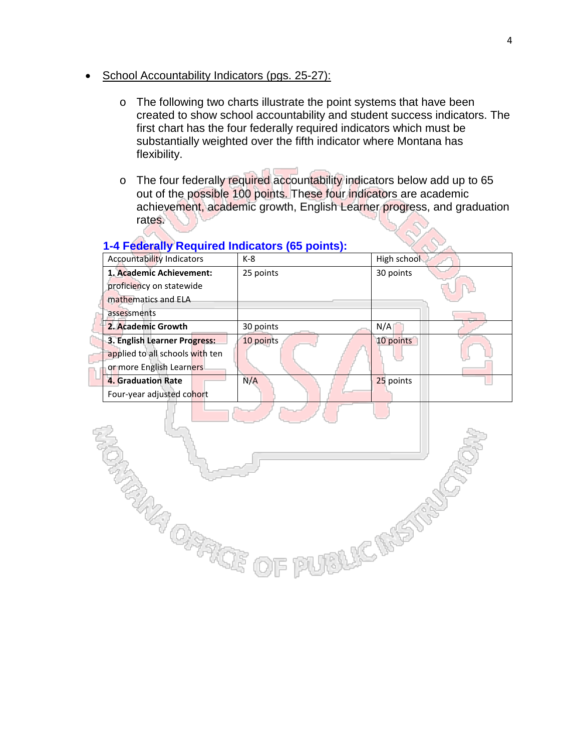- School Accountability Indicators (pgs. 25-27):
	- o The following two charts illustrate the point systems that have been created to show school accountability and student success indicators. The first chart has the four federally required indicators which must be substantially weighted over the fifth indicator where Montana has flexibility.
	- o The four federally required accountability indicators below add up to 65 out of the possible 100 points. These four indicators are academic achievement, academic growth, English Learner progress, and graduation rates.

#### **1-4 Federally Required Indicators (65 points):**

**TANA OFFICE** 

 $\bigcirc$ 

| <b>Accountability Indicators</b> | $K-8$     | High school |
|----------------------------------|-----------|-------------|
| 1. Academic Achievement:         | 25 points | 30 points   |
| proficiency on statewide         |           |             |
| mathematics and ELA              |           |             |
| assessments                      |           |             |
| 2. Academic Growth               | 30 points | N/A         |
| 3. English Learner Progress:     | 10 points | 10 points   |
| applied to all schools with ten  |           |             |
| or more English Learners         |           |             |
| 4. Graduation Rate               | N/A       | 25 points   |
| Four-year adjusted cohort        |           |             |

**UBLICINSTRY** 

#### 4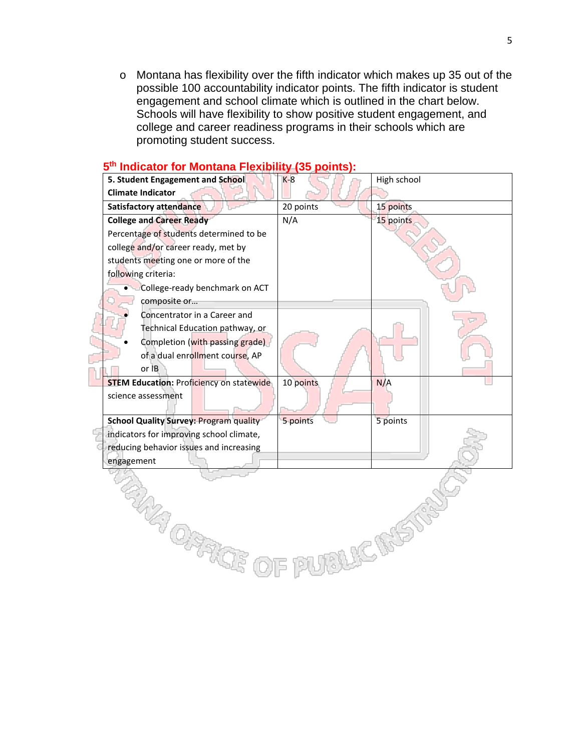$\circ$  Montana has flexibility over the fifth indicator which makes up 35 out of the possible 100 accountability indicator points. The fifth indicator is student engagement and school climate which is outlined in the chart below. Schools will have flexibility to show positive student engagement, and college and career readiness programs in their schools which are promoting student success.



#### **5th Indicator for Montana Flexibility (35 points):**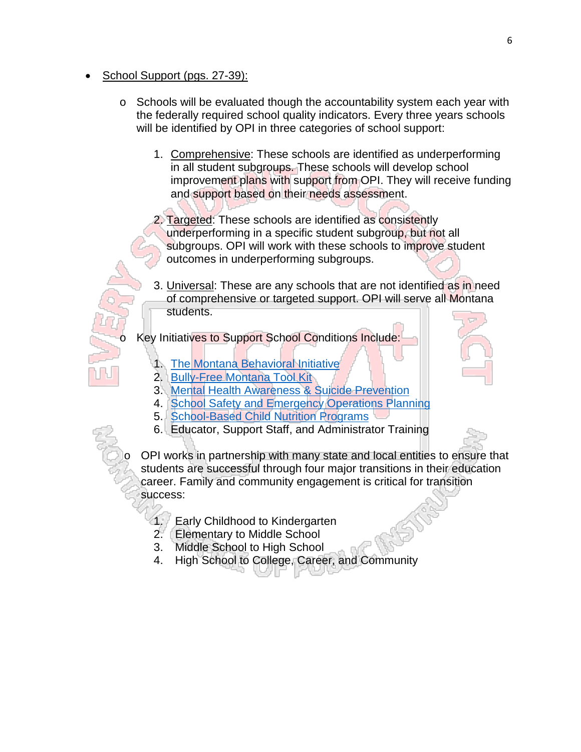- School Support (pgs. 27-39):
	- $\circ$  Schools will be evaluated though the accountability system each year with the federally required school quality indicators. Every three years schools will be identified by OPI in three categories of school support:
		- 1. Comprehensive: These schools are identified as underperforming in all student subgroups. These schools will develop school improvement plans with support from OPI. They will receive funding and support based on their needs assessment.

2. Targeted: These schools are identified as consistently underperforming in a specific student subgroup, but not all subgroups. OPI will work with these schools to improve student outcomes in underperforming subgroups.

3. Universal: These are any schools that are not identified as in need of comprehensive or targeted support. OPI will serve all Montana students.

Key Initiatives to Support School Conditions Include:

- 1. [The Montana Behavioral Initiative](http://www.opi.mt.gov/Programs/SchoolPrograms/MBI/)
- 2. [Bully-Free Montana Tool Kit](http://opi.mt.gov/Programs/TitlePrgms/SafeSchools/bully.html)
- 3. [Mental Health Awareness & Suicide Prevention](http://opi.mt.gov/Programs/HealthTopics/SuicideAware.html)
- 4. [School Safety and Emergency Operations Planning](http://opi.mt.gov/Programs/HealthTopics/index.html?gpm=1_7#gpm1_6)
- 5. [School-Based Child Nutrition Programs](http://opi.mt.gov/Programs/SchoolPrograms/School_Nutrition/index.html)
- 6. Educator, Support Staff, and Administrator Training

OPI works in partnership with many state and local entities to ensure that students are successful through four major transitions in their education career. Family and community engagement is critical for transition success:

- 1. Early Childhood to Kindergarten
- 2. Elementary to Middle School
- 3. Middle School to High School
- 4. High School to College, Career, and Community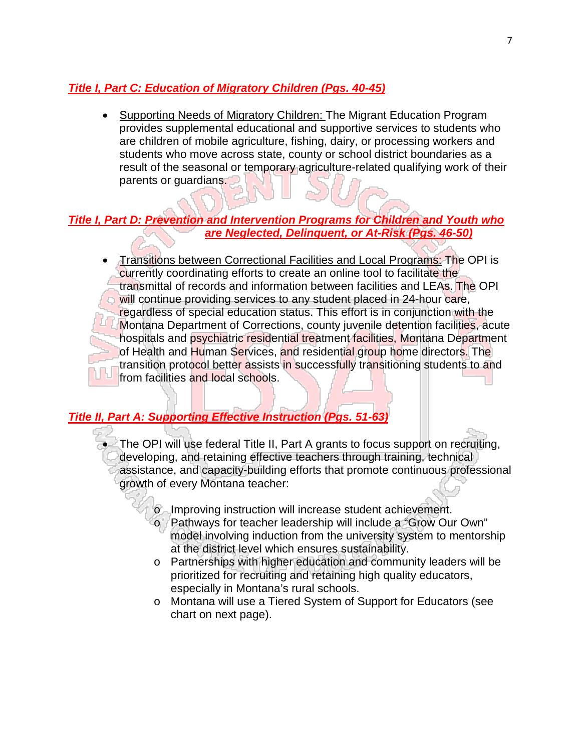#### *Title I, Part C: Education of Migratory Children (Pgs. 40-45)*

• Supporting Needs of Migratory Children: The Migrant Education Program provides supplemental educational and supportive services to students who are children of mobile agriculture, fishing, dairy, or processing workers and students who move across state, county or school district boundaries as a result of the seasonal or temporary agriculture-related qualifying work of their parents or guardians.

#### *Title I, Part D: Prevention and Intervention Programs for Children and Youth who are Neglected, Delinquent, or At-Risk (Pgs. 46-50)*

• Transitions between Correctional Facilities and Local Programs: The OPI is currently coordinating efforts to create an online tool to facilitate the transmittal of records and information between facilities and LEAs. The OPI will continue providing services to any student placed in 24-hour care, regardless of special education status. This effort is in conjunction with the Montana Department of Corrections, county juvenile detention facilities, acute hospitals and psychiatric residential treatment facilities, Montana Department of Health and Human Services, and residential group home directors. The transition protocol better assists in successfully transitioning students to and from facilities and local schools.

## *Title II, Part A: Supporting Effective Instruction (Pgs. 51-63)*

- The OPI will use federal Title II, Part A grants to focus support on recruiting, developing, and retaining effective teachers through training, technical assistance, and capacity-building efforts that promote continuous professional growth of every Montana teacher:
	- o Improving instruction will increase student achievement.
	- o Pathways for teacher leadership will include a "Grow Our Own" model involving induction from the university system to mentorship at the district level which ensures sustainability.
	- o Partnerships with higher education and community leaders will be prioritized for recruiting and retaining high quality educators, especially in Montana's rural schools.
	- o Montana will use a Tiered System of Support for Educators (see chart on next page).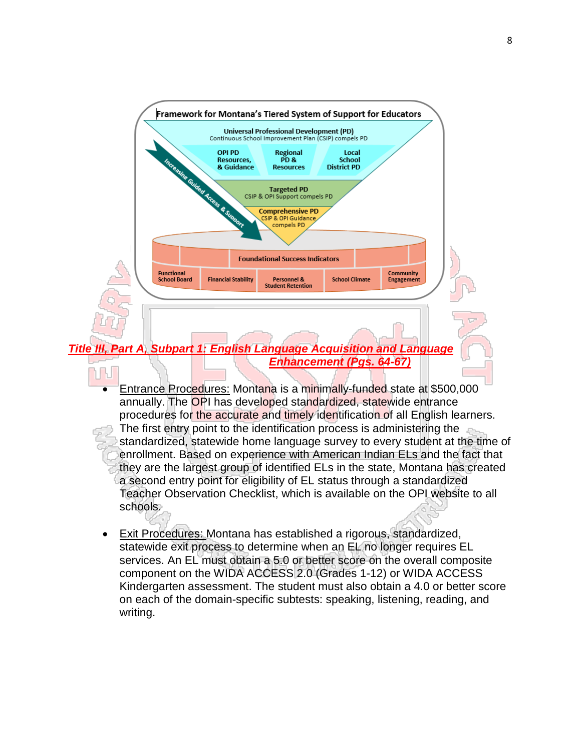

- Entrance Procedures: Montana is a minimally-funded state at \$500,000 annually. The OPI has developed standardized, statewide entrance procedures for the accurate and timely identification of all English learners. The first entry point to the identification process is administering the standardized, statewide home language survey to every student at the time of enrollment. Based on experience with American Indian ELs and the fact that they are the largest group of identified ELs in the state, Montana has created a second entry point for eligibility of EL status through a standardized Teacher Observation Checklist, which is available on the OPI website to all schools.
- Exit Procedures: Montana has established a rigorous, standardized, statewide exit process to determine when an EL no longer requires EL services. An EL must obtain a 5.0 or better score on the overall composite component on the WIDA ACCESS 2.0 (Grades 1-12) or WIDA ACCESS Kindergarten assessment. The student must also obtain a 4.0 or better score on each of the domain-specific subtests: speaking, listening, reading, and writing.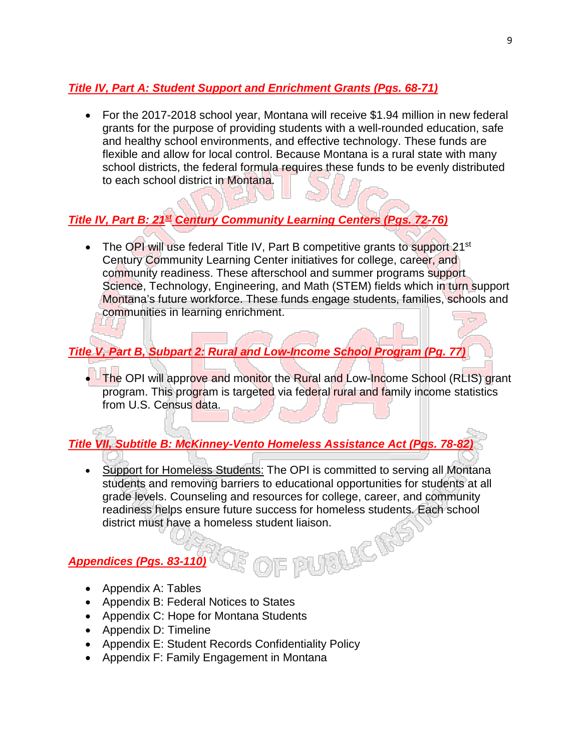## *Title IV, Part A: Student Support and Enrichment Grants (Pgs. 68-71)*

• For the 2017-2018 school year, Montana will receive \$1.94 million in new federal grants for the purpose of providing students with a well-rounded education, safe and healthy school environments, and effective technology. These funds are flexible and allow for local control. Because Montana is a rural state with many school districts, the federal formula requires these funds to be evenly distributed to each school district in Montana.

# *Title IV, Part B: 21st Century Community Learning Centers (Pgs. 72-76)*

• The OPI will use federal Title IV, Part B competitive grants to support 21<sup>st</sup> Century Community Learning Center initiatives for college, career, and community readiness. These afterschool and summer programs support Science, Technology, Engineering, and Math (STEM) fields which in turn support Montana's future workforce. These funds engage students, families, schools and communities in learning enrichment.

# *Title V, Part B, Subpart 2: Rural and Low-Income School Program (Pg. 77)*

• The OPI will approve and monitor the Rural and Low-Income School (RLIS) grant program. This program is targeted via federal rural and family income statistics from U.S. Census data.

*Title VII, Subtitle B: McKinney-Vento Homeless Assistance Act (Pgs. 78-82)*

• Support for Homeless Students: The OPI is committed to serving all Montana students and removing barriers to educational opportunities for students at all grade levels. Counseling and resources for college, career, and community readiness helps ensure future success for homeless students. Each school district must have a homeless student liaison.<br> **dices (Pgs. 83-110)** 

## *Appendices (Pgs. 83-110)*

- Appendix A: Tables
- Appendix B: Federal Notices to States
- Appendix C: Hope for Montana Students
- Appendix D: Timeline
- Appendix E: Student Records Confidentiality Policy
- Appendix F: Family Engagement in Montana